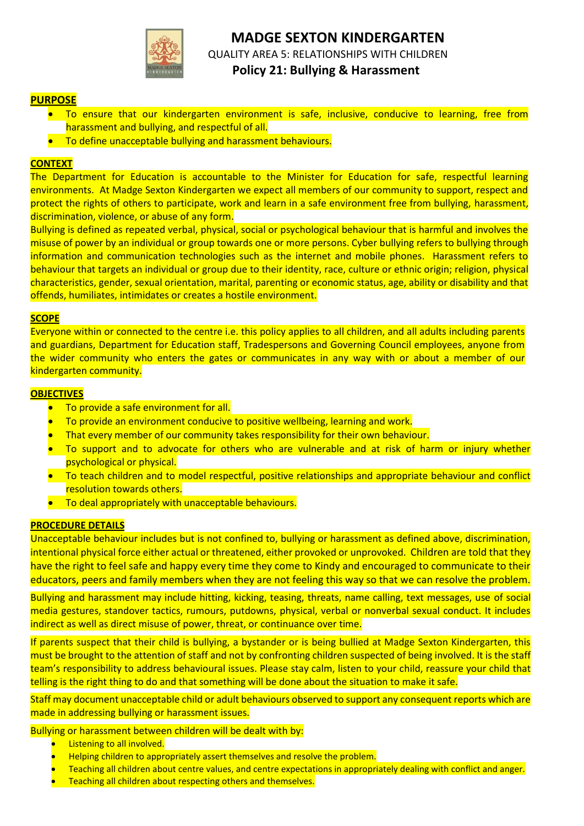

# **MADGE SEXTON KINDERGARTEN** QUALITY AREA 5: RELATIONSHIPS WITH CHILDREN  **Policy 21: Bullying & Harassment**

# **PURPOSE**

- To ensure that our kindergarten environment is safe, inclusive, conducive to learning, free from harassment and bullying, and respectful of all.
- **•** To define unacceptable bullying and harassment behaviours.

## **CONTEXT**

The Department for Education is accountable to the Minister for Education for safe, respectful learning environments. At Madge Sexton Kindergarten we expect all members of our community to support, respect and protect the rights of others to participate, work and learn in a safe environment free from bullying, harassment, discrimination, violence, or abuse of any form.

Bullying is defined as repeated verbal, physical, social or psychological behaviour that is harmful and involves the misuse of power by an individual or group towards one or more persons. Cyber bullying refers to bullying through information and communication technologies such as the internet and mobile phones. Harassment refers to behaviour that targets an individual or group due to their identity, race, culture or ethnic origin; religion, physical characteristics, gender, sexual orientation, marital, parenting or economic status, age, ability or disability and that offends, humiliates, intimidates or creates a hostile environment.

#### **SCOPE**

Everyone within or connected to the centre i.e. this policy applies to all children, and all adults including parents and guardians, Department for Education staff, Tradespersons and Governing Council employees, anyone from the wider community who enters the gates or communicates in any way with or about a member of our kindergarten community.

#### **OBJECTIVES**

- To provide a safe environment for all.
- To provide an environment conducive to positive wellbeing, learning and work.
- That every member of our community takes responsibility for their own behaviour.
- To support and to advocate for others who are vulnerable and at risk of harm or injury whether psychological or physical.
- To teach children and to model respectful, positive relationships and appropriate behaviour and conflict resolution towards others.
- **•** To deal appropriately with unacceptable behaviours.

## **PROCEDURE DETAILS**

Unacceptable behaviour includes but is not confined to, bullying or harassment as defined above, discrimination, intentional physical force either actual or threatened, either provoked or unprovoked. Children are told that they have the right to feel safe and happy every time they come to Kindy and encouraged to communicate to their educators, peers and family members when they are not feeling this way so that we can resolve the problem.

Bullying and harassment may include hitting, kicking, teasing, threats, name calling, text messages, use of social media gestures, standover tactics, rumours, putdowns, physical, verbal or nonverbal sexual conduct. It includes indirect as well as direct misuse of power, threat, or continuance over time.

If parents suspect that their child is bullying, a bystander or is being bullied at Madge Sexton Kindergarten, this must be brought to the attention of staff and not by confronting children suspected of being involved. It is the staff team's responsibility to address behavioural issues. Please stay calm, listen to your child, reassure your child that telling is the right thing to do and that something will be done about the situation to make it safe.

Staff may document unacceptable child or adult behaviours observed to support any consequent reports which are made in addressing bullying or harassment issues.

Bullying or harassment between children will be dealt with by:

- Listening to all involved.
- Helping children to appropriately assert themselves and resolve the problem.
- Teaching all children about centre values, and centre expectations in appropriately dealing with conflict and anger.
- Teaching all children about respecting others and themselves.